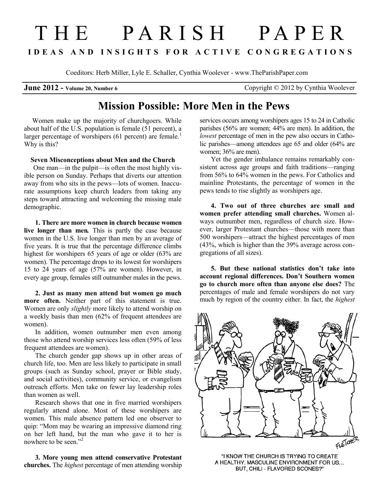# T H E P A R I S H P A P E R **I D E A S A N D I N S I G H T S F O R A C T I V E C O N G R E G A T I O N S**

Coeditors: Herb Miller, Lyle E. Schaller, Cynthia Woolever - www.TheParishPaper.com

**June 2012 - Volume 20, Number 6** Copyright © 2012 by Cynthia Woolever

# **Mission Possible: More Men in the Pews**

Women make up the majority of churchgoers. While about half of the U.S. population is female (51 percent), a larger percentage of worshipers  $(61$  percent) are female.<sup>1</sup> Why is this?

## **Seven Misconceptions about Men and the Church**

 One man—in the pulpit—is often the most highly visible person on Sunday. Perhaps that diverts our attention away from who sits in the pews—lots of women. Inaccurate assumptions keep church leaders from taking any steps toward attracting and welcoming the missing male demographic.

**1. There are more women in church because women live longer than men***.* This is partly the case because women in the U.S. live longer than men by an average of five years. It is true that the percentage difference climbs highest for worshipers 65 years of age or older (63% are women). The percentage drops to its lowest for worshipers 15 to 24 years of age (57% are women). However, in every age group, females still outnumber males in the pews.

**2. Just as many men attend but women go much more often.** Neither part of this statement is true. Women are only *slightly* more likely to attend worship on a weekly basis than men (62% of frequent attendees are women).

In addition, women outnumber men even among those who attend worship services less often (59% of less frequent attendees are women).

The church gender gap shows up in other areas of church life, too. Men are less likely to participate in small groups (such as Sunday school, prayer or Bible study, and social activities), community service, or evangelism outreach efforts. Men take on fewer lay leadership roles than women as well.

Research shows that one in five married worshipers regularly attend alone. Most of these worshipers are women. This male absence pattern led one observer to quip: "Mom may be wearing an impressive diamond ring on her left hand, but the man who gave it to her is nowhere to be seen."<sup>2</sup>

**3. More young men attend conservative Protestant churches.** The *highest* percentage of men attending worship

services occurs among worshipers ages 15 to 24 in Catholic parishes (56% are women; 44% are men). In addition, the *lowest* percentage of men in the pew also occurs in Catholic parishes—among attendees age 65 and older (64% are women; 36% are men).

Yet the gender imbalance remains remarkably consistent across age groups and faith traditions—ranging from 56% to 64% women in the pews. For Catholics and mainline Protestants, the percentage of women in the pews tends to rise slightly as worshipers age.

**4. Two out of three churches are small and women prefer attending small churches.** Women always outnumber men, regardless of church size. However, larger Protestant churches—those with more than 500 worshipers—attract the highest percentages of men (43%, which is higher than the 39% average across congregations of all sizes).

**5. But these national statistics don't take into account regional differences. Don't Southern women go to church more often than anyone else does?** The percentages of male and female worshipers do not vary much by region of the country either. In fact, the *highest*



"I KNOW THE CHURCH IS TRYING TO CREATE A HEALTHY, MASCULINE ENVIRONMENT FOR US... BUT, CHILI - FLAVORED SCONES?"